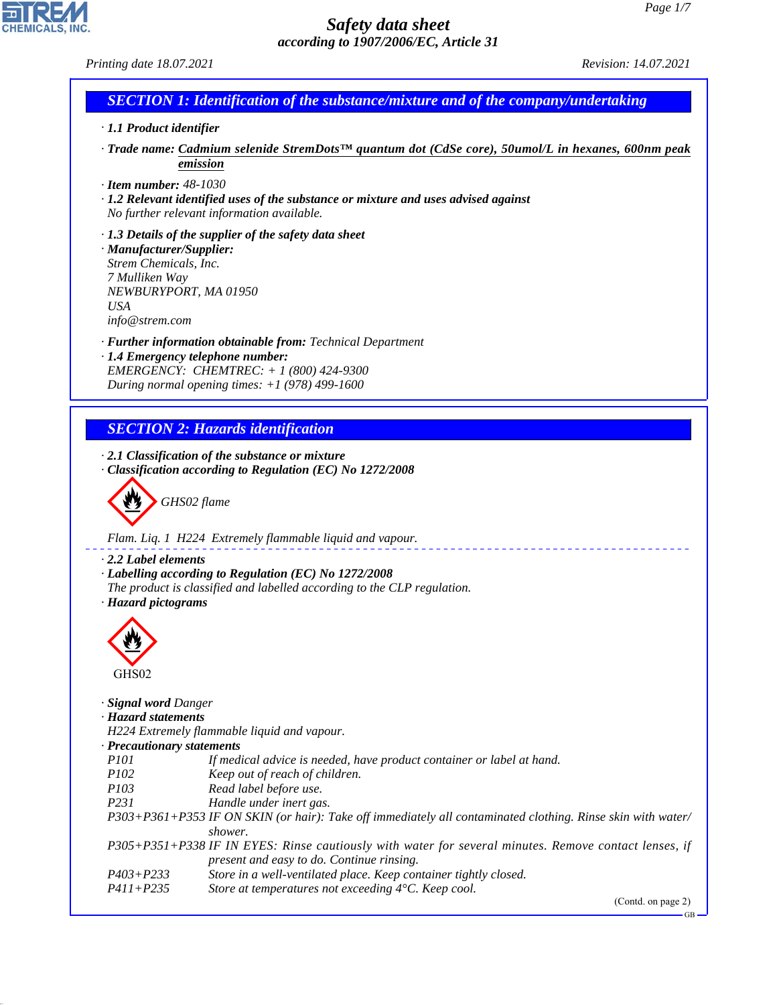GB

# **CHEMICALS.**

# *Safety data sheet according to 1907/2006/EC, Article 31*

*Printing date 18.07.2021 Revision: 14.07.2021*

# *SECTION 1: Identification of the substance/mixture and of the company/undertaking*

- *· 1.1 Product identifier*
- *· Trade name: Cadmium selenide StremDots™ quantum dot (CdSe core), 50umol/L in hexanes, 600nm peak emission*
- *· Item number: 48-1030*
- *· 1.2 Relevant identified uses of the substance or mixture and uses advised against No further relevant information available.*
- *· 1.3 Details of the supplier of the safety data sheet · Manufacturer/Supplier: Strem Chemicals, Inc. 7 Mulliken Way NEWBURYPORT, MA 01950 USA info@strem.com*
- *· Further information obtainable from: Technical Department · 1.4 Emergency telephone number: EMERGENCY: CHEMTREC: + 1 (800) 424-9300*
- *During normal opening times: +1 (978) 499-1600*

# *SECTION 2: Hazards identification*

*· 2.1 Classification of the substance or mixture · Classification according to Regulation (EC) No 1272/2008*

d~*GHS02 flame*

*Flam. Liq. 1 H224 Extremely flammable liquid and vapour.*

*· 2.2 Label elements*

- *· Labelling according to Regulation (EC) No 1272/2008*
- *The product is classified and labelled according to the CLP regulation.*

## *· Hazard pictograms*



44.1.1

| GHS02                       |                                                                                                                                                    |
|-----------------------------|----------------------------------------------------------------------------------------------------------------------------------------------------|
| · <b>Signal word Danger</b> |                                                                                                                                                    |
| · Hazard statements         |                                                                                                                                                    |
|                             | H224 Extremely flammable liquid and vapour.                                                                                                        |
| · Precautionary statements  |                                                                                                                                                    |
| <i>P101</i>                 | If medical advice is needed, have product container or label at hand.                                                                              |
| <i>P102</i>                 | Keep out of reach of children.                                                                                                                     |
| <i>P103</i>                 | Read label before use.                                                                                                                             |
| <i>P231</i>                 | Handle under inert gas.                                                                                                                            |
|                             | P303+P361+P353 IF ON SKIN (or hair): Take off immediately all contaminated clothing. Rinse skin with water/                                        |
|                             | shower.                                                                                                                                            |
|                             | P305+P351+P338 IF IN EYES: Rinse cautiously with water for several minutes. Remove contact lenses, if<br>present and easy to do. Continue rinsing. |
| $P403 + P233$               | Store in a well-ventilated place. Keep container tightly closed.                                                                                   |
| $P411 + P235$               | Store at temperatures not exceeding $4^{\circ}$ C. Keep cool.                                                                                      |
|                             | (Contd. on page 2)                                                                                                                                 |

 $- - - - - - -$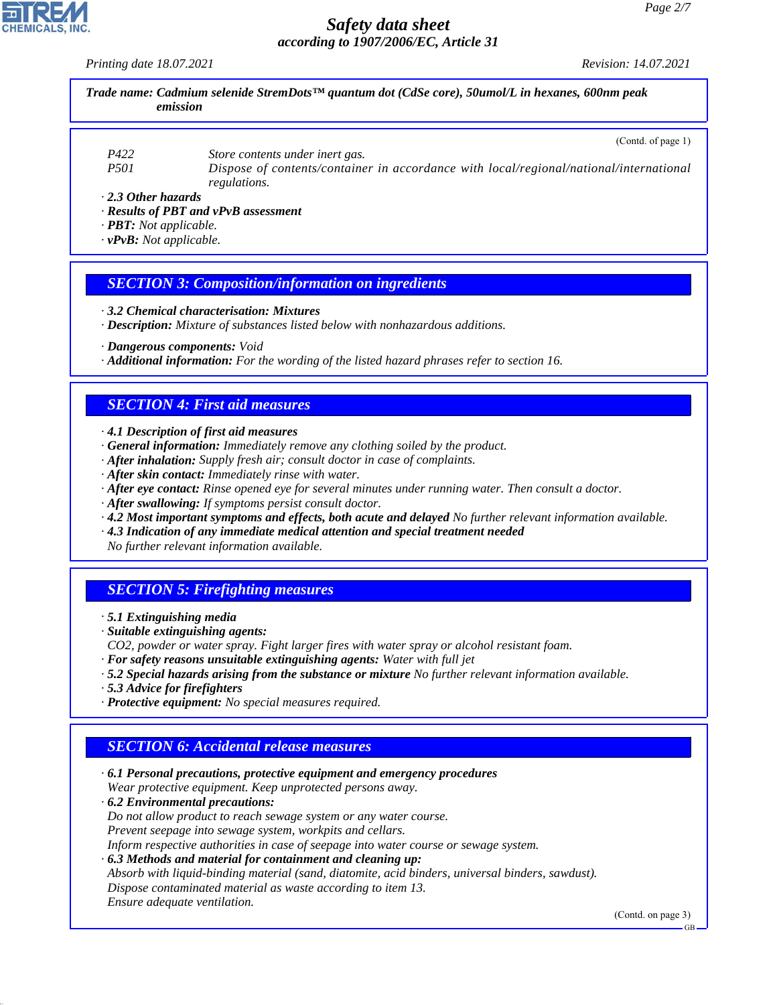*Printing date 18.07.2021 Revision: 14.07.2021*

*Trade name: Cadmium selenide StremDots™ quantum dot (CdSe core), 50umol/L in hexanes, 600nm peak emission*

*P422 Store contents under inert gas. P501 Dispose of contents/container in accordance with local/regional/national/international regulations.*

*· 2.3 Other hazards*

*· Results of PBT and vPvB assessment*

*· PBT: Not applicable.*

*· vPvB: Not applicable.*

#### *SECTION 3: Composition/information on ingredients*

*· 3.2 Chemical characterisation: Mixtures*

*· Description: Mixture of substances listed below with nonhazardous additions.*

*· Dangerous components: Void*

*· Additional information: For the wording of the listed hazard phrases refer to section 16.*

#### *SECTION 4: First aid measures*

*· 4.1 Description of first aid measures*

- *· General information: Immediately remove any clothing soiled by the product.*
- *· After inhalation: Supply fresh air; consult doctor in case of complaints.*
- *· After skin contact: Immediately rinse with water.*
- *· After eye contact: Rinse opened eye for several minutes under running water. Then consult a doctor.*
- *· After swallowing: If symptoms persist consult doctor.*
- *· 4.2 Most important symptoms and effects, both acute and delayed No further relevant information available.*
- *· 4.3 Indication of any immediate medical attention and special treatment needed*

*No further relevant information available.*

## *SECTION 5: Firefighting measures*

- *· 5.1 Extinguishing media*
- *· Suitable extinguishing agents:*
- *CO2, powder or water spray. Fight larger fires with water spray or alcohol resistant foam.*
- *· For safety reasons unsuitable extinguishing agents: Water with full jet*
- *· 5.2 Special hazards arising from the substance or mixture No further relevant information available.*
- *· 5.3 Advice for firefighters*
- *· Protective equipment: No special measures required.*

## *SECTION 6: Accidental release measures*

- *· 6.1 Personal precautions, protective equipment and emergency procedures Wear protective equipment. Keep unprotected persons away.*
- *· 6.2 Environmental precautions: Do not allow product to reach sewage system or any water course. Prevent seepage into sewage system, workpits and cellars.*
- *Inform respective authorities in case of seepage into water course or sewage system.*
- *· 6.3 Methods and material for containment and cleaning up:*
- *Absorb with liquid-binding material (sand, diatomite, acid binders, universal binders, sawdust).*
- *Dispose contaminated material as waste according to item 13.*

*Ensure adequate ventilation.*

44.1.1

(Contd. on page 3)



GB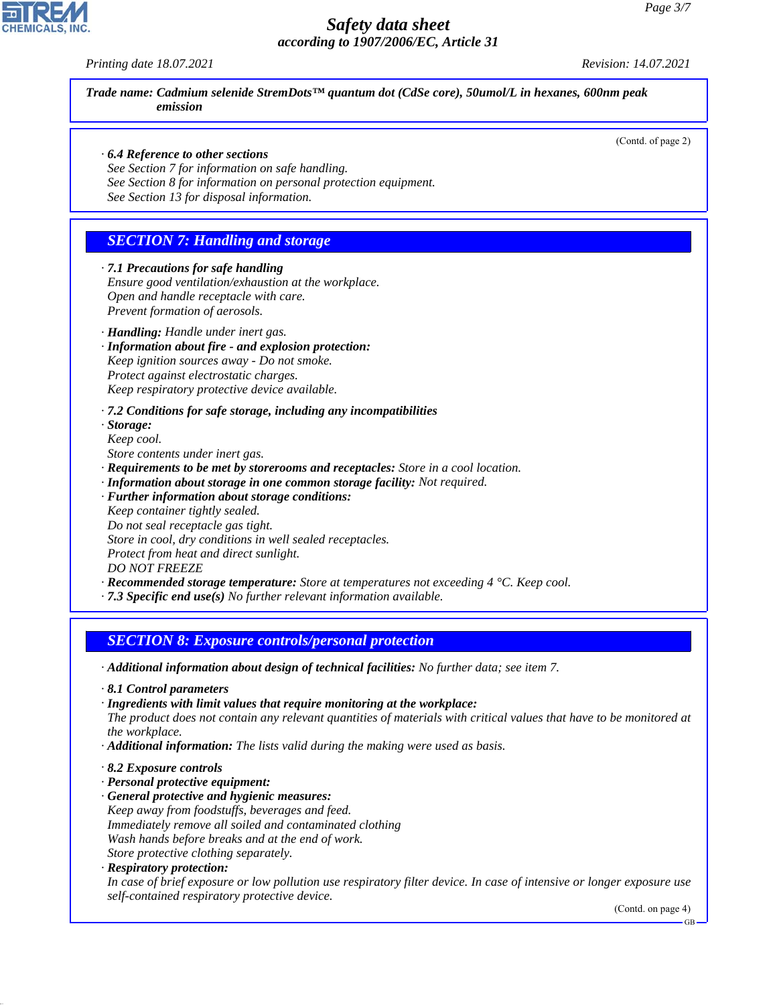*Printing date 18.07.2021 Revision: 14.07.2021*

*Trade name: Cadmium selenide StremDots™ quantum dot (CdSe core), 50umol/L in hexanes, 600nm peak emission*

(Contd. of page 2)

#### *· 6.4 Reference to other sections*

*See Section 7 for information on safe handling. See Section 8 for information on personal protection equipment.*

*See Section 13 for disposal information.*

#### *SECTION 7: Handling and storage*

*· 7.1 Precautions for safe handling Ensure good ventilation/exhaustion at the workplace. Open and handle receptacle with care. Prevent formation of aerosols.*

*· Handling: Handle under inert gas.*

*· Information about fire - and explosion protection:*

*Keep ignition sources away - Do not smoke. Protect against electrostatic charges.*

*Keep respiratory protective device available.*

#### *· 7.2 Conditions for safe storage, including any incompatibilities*

*· Storage: Keep cool.*

*Store contents under inert gas.*

- *· Requirements to be met by storerooms and receptacles: Store in a cool location.*
- *· Information about storage in one common storage facility: Not required.*
- *· Further information about storage conditions:*
- *Keep container tightly sealed.*
- *Do not seal receptacle gas tight.*

*Store in cool, dry conditions in well sealed receptacles.*

*Protect from heat and direct sunlight.*

*DO NOT FREEZE*

- *· Recommended storage temperature: Store at temperatures not exceeding 4 °C. Keep cool.*
- *· 7.3 Specific end use(s) No further relevant information available.*

#### *SECTION 8: Exposure controls/personal protection*

*· Additional information about design of technical facilities: No further data; see item 7.*

- *· 8.1 Control parameters*
- *· Ingredients with limit values that require monitoring at the workplace:*
- *The product does not contain any relevant quantities of materials with critical values that have to be monitored at the workplace.*
- *· Additional information: The lists valid during the making were used as basis.*
- *· 8.2 Exposure controls*
- *· Personal protective equipment:*
- *· General protective and hygienic measures: Keep away from foodstuffs, beverages and feed. Immediately remove all soiled and contaminated clothing Wash hands before breaks and at the end of work. Store protective clothing separately.*
- *· Respiratory protection:*

44.1.1

*In case of brief exposure or low pollution use respiratory filter device. In case of intensive or longer exposure use self-contained respiratory protective device.*

(Contd. on page 4)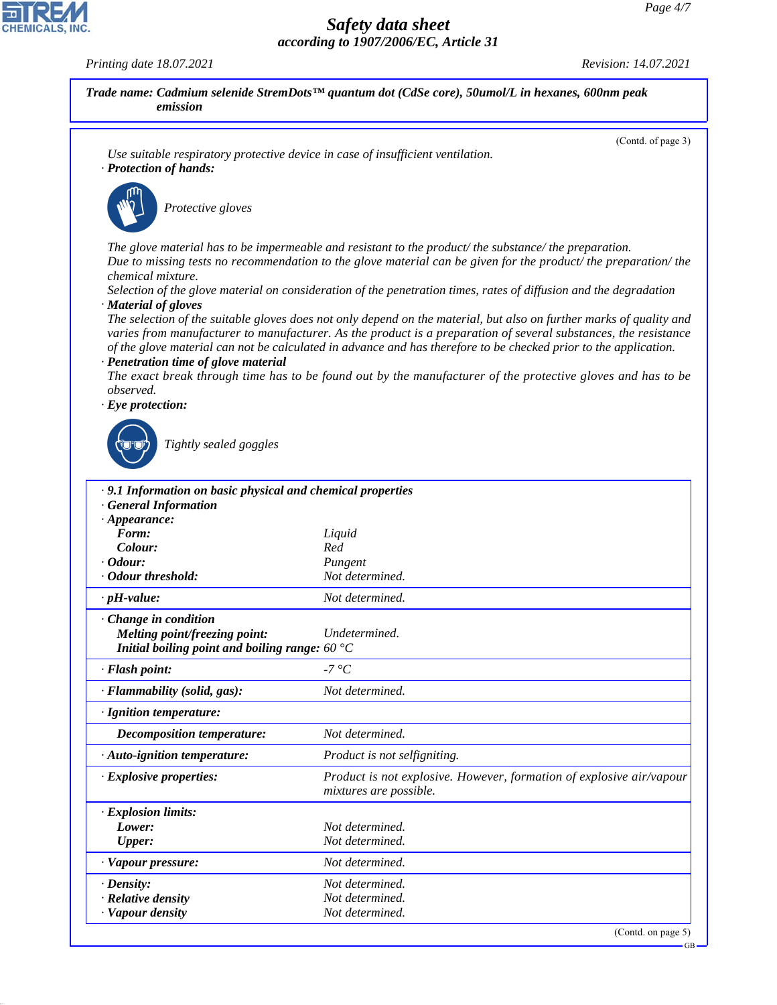GB

## *Safety data sheet according to 1907/2006/EC, Article 31*

*Printing date 18.07.2021 Revision: 14.07.2021*

CHEMICALS, INC.

44.1.1

| Use suitable respiratory protective device in case of insufficient ventilation.<br>· Protection of hands:                                                                                                                                                       | (Contd. of page 3)                                                                                                                                                                                                                                                                                                                                                                                                                                                        |
|-----------------------------------------------------------------------------------------------------------------------------------------------------------------------------------------------------------------------------------------------------------------|---------------------------------------------------------------------------------------------------------------------------------------------------------------------------------------------------------------------------------------------------------------------------------------------------------------------------------------------------------------------------------------------------------------------------------------------------------------------------|
| Protective gloves                                                                                                                                                                                                                                               |                                                                                                                                                                                                                                                                                                                                                                                                                                                                           |
| chemical mixture.                                                                                                                                                                                                                                               | The glove material has to be impermeable and resistant to the product/ the substance/ the preparation.<br>Due to missing tests no recommendation to the glove material can be given for the product/the preparation/the<br>Selection of the glove material on consideration of the penetration times, rates of diffusion and the degradation                                                                                                                              |
| · Material of gloves<br>· Penetration time of glove material<br>observed.                                                                                                                                                                                       | The selection of the suitable gloves does not only depend on the material, but also on further marks of quality and<br>varies from manufacturer to manufacturer. As the product is a preparation of several substances, the resistance<br>of the glove material can not be calculated in advance and has therefore to be checked prior to the application.<br>The exact break through time has to be found out by the manufacturer of the protective gloves and has to be |
| $\cdot$ Eye protection:<br>Tightly sealed goggles                                                                                                                                                                                                               |                                                                                                                                                                                                                                                                                                                                                                                                                                                                           |
|                                                                                                                                                                                                                                                                 |                                                                                                                                                                                                                                                                                                                                                                                                                                                                           |
| · 9.1 Information on basic physical and chemical properties                                                                                                                                                                                                     |                                                                                                                                                                                                                                                                                                                                                                                                                                                                           |
| <b>General Information</b>                                                                                                                                                                                                                                      |                                                                                                                                                                                                                                                                                                                                                                                                                                                                           |
| $\cdot$ Appearance:                                                                                                                                                                                                                                             |                                                                                                                                                                                                                                                                                                                                                                                                                                                                           |
| Form:                                                                                                                                                                                                                                                           | Liquid                                                                                                                                                                                                                                                                                                                                                                                                                                                                    |
| Colour:                                                                                                                                                                                                                                                         | Red                                                                                                                                                                                                                                                                                                                                                                                                                                                                       |
|                                                                                                                                                                                                                                                                 | Pungent<br>Not determined.                                                                                                                                                                                                                                                                                                                                                                                                                                                |
|                                                                                                                                                                                                                                                                 | Not determined.                                                                                                                                                                                                                                                                                                                                                                                                                                                           |
| <b>Melting point/freezing point:</b>                                                                                                                                                                                                                            | Undetermined.                                                                                                                                                                                                                                                                                                                                                                                                                                                             |
| Initial boiling point and boiling range: $60^{\circ}$ C                                                                                                                                                                                                         |                                                                                                                                                                                                                                                                                                                                                                                                                                                                           |
|                                                                                                                                                                                                                                                                 | -7 °C                                                                                                                                                                                                                                                                                                                                                                                                                                                                     |
|                                                                                                                                                                                                                                                                 | Not determined.                                                                                                                                                                                                                                                                                                                                                                                                                                                           |
|                                                                                                                                                                                                                                                                 |                                                                                                                                                                                                                                                                                                                                                                                                                                                                           |
| <b>Decomposition temperature:</b>                                                                                                                                                                                                                               | Not determined.                                                                                                                                                                                                                                                                                                                                                                                                                                                           |
|                                                                                                                                                                                                                                                                 | Product is not selfigniting.                                                                                                                                                                                                                                                                                                                                                                                                                                              |
|                                                                                                                                                                                                                                                                 | mixtures are possible.                                                                                                                                                                                                                                                                                                                                                                                                                                                    |
|                                                                                                                                                                                                                                                                 |                                                                                                                                                                                                                                                                                                                                                                                                                                                                           |
| Lower:                                                                                                                                                                                                                                                          | Not determined.                                                                                                                                                                                                                                                                                                                                                                                                                                                           |
| <i>Cdour:</i><br>· Odour threshold:<br>$\cdot$ pH-value:<br>Change in condition<br>· Flash point:<br>· Flammability (solid, gas):<br>· Ignition temperature:<br>· Auto-ignition temperature:<br>· Explosive properties:<br>· Explosion limits:<br><b>Upper:</b> | Not determined.                                                                                                                                                                                                                                                                                                                                                                                                                                                           |
| · Vapour pressure:                                                                                                                                                                                                                                              | Not determined.                                                                                                                                                                                                                                                                                                                                                                                                                                                           |
| $\cdot$ Density:                                                                                                                                                                                                                                                | Not determined.                                                                                                                                                                                                                                                                                                                                                                                                                                                           |
| · Relative density<br>· Vapour density                                                                                                                                                                                                                          | Product is not explosive. However, formation of explosive air/vapour<br>Not determined.<br>Not determined.                                                                                                                                                                                                                                                                                                                                                                |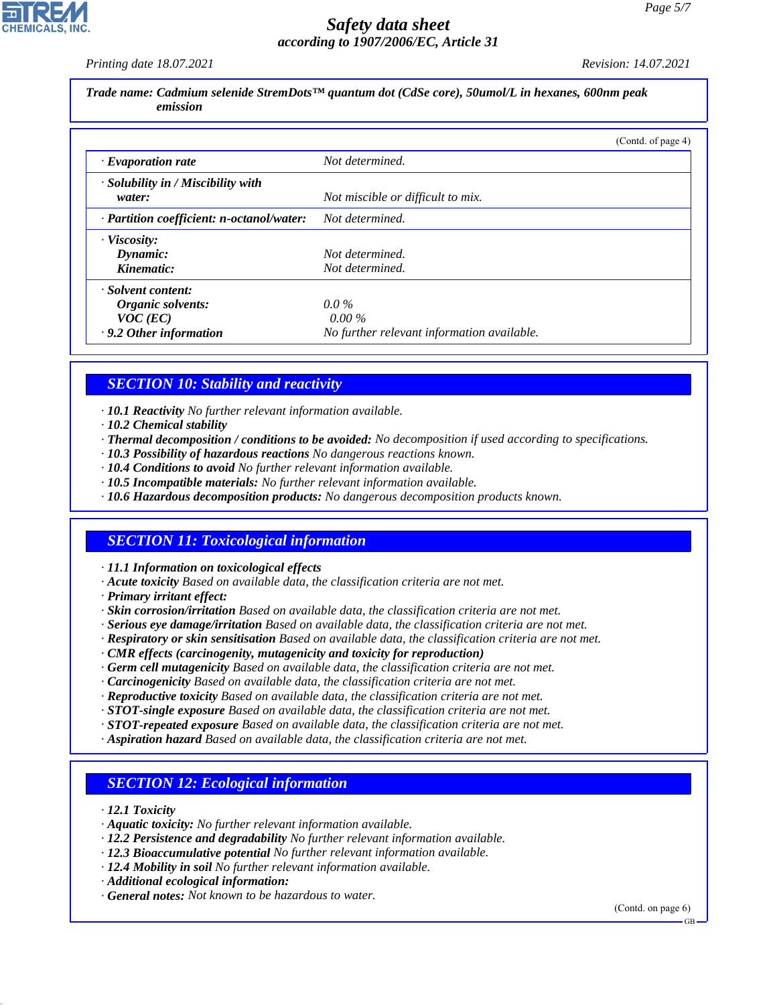*Printing date 18.07.2021 Revision: 14.07.2021*

*Trade name: Cadmium selenide StremDots™ quantum dot (CdSe core), 50umol/L in hexanes, 600nm peak emission*

|                                                    | (Contd. of page 4)                         |
|----------------------------------------------------|--------------------------------------------|
| $\cdot$ Evaporation rate                           | Not determined.                            |
| $\cdot$ Solubility in / Miscibility with<br>water: | Not miscible or difficult to mix.          |
| · Partition coefficient: n-octanol/water:          | Not determined.                            |
| · Viscosity:                                       |                                            |
| Dynamic:                                           | Not determined.                            |
| Kinematic:                                         | Not determined.                            |
| · Solvent content:                                 |                                            |
| Organic solvents:                                  | $0.0\%$                                    |
| $VOC$ (EC)                                         | $0.00\%$                                   |
| $\cdot$ 9.2 Other information                      | No further relevant information available. |

#### *SECTION 10: Stability and reactivity*

*· 10.1 Reactivity No further relevant information available.*

- *· 10.2 Chemical stability*
- *· Thermal decomposition / conditions to be avoided: No decomposition if used according to specifications.*
- *· 10.3 Possibility of hazardous reactions No dangerous reactions known.*
- *· 10.4 Conditions to avoid No further relevant information available.*
- *· 10.5 Incompatible materials: No further relevant information available.*
- *· 10.6 Hazardous decomposition products: No dangerous decomposition products known.*

#### *SECTION 11: Toxicological information*

*· 11.1 Information on toxicological effects*

- *· Acute toxicity Based on available data, the classification criteria are not met.*
- *· Primary irritant effect:*
- *· Skin corrosion/irritation Based on available data, the classification criteria are not met.*
- *· Serious eye damage/irritation Based on available data, the classification criteria are not met.*
- *· Respiratory or skin sensitisation Based on available data, the classification criteria are not met.*
- *· CMR effects (carcinogenity, mutagenicity and toxicity for reproduction)*
- *· Germ cell mutagenicity Based on available data, the classification criteria are not met.*
- *· Carcinogenicity Based on available data, the classification criteria are not met.*
- *· Reproductive toxicity Based on available data, the classification criteria are not met.*
- *· STOT-single exposure Based on available data, the classification criteria are not met.*
- *· STOT-repeated exposure Based on available data, the classification criteria are not met.*
- *· Aspiration hazard Based on available data, the classification criteria are not met.*

#### *SECTION 12: Ecological information*

*· 12.1 Toxicity*

44.1.1

- *· Aquatic toxicity: No further relevant information available.*
- *· 12.2 Persistence and degradability No further relevant information available.*
- *· 12.3 Bioaccumulative potential No further relevant information available.*
- *· 12.4 Mobility in soil No further relevant information available.*
- *· Additional ecological information:*
- *· General notes: Not known to be hazardous to water.*

(Contd. on page 6)

GB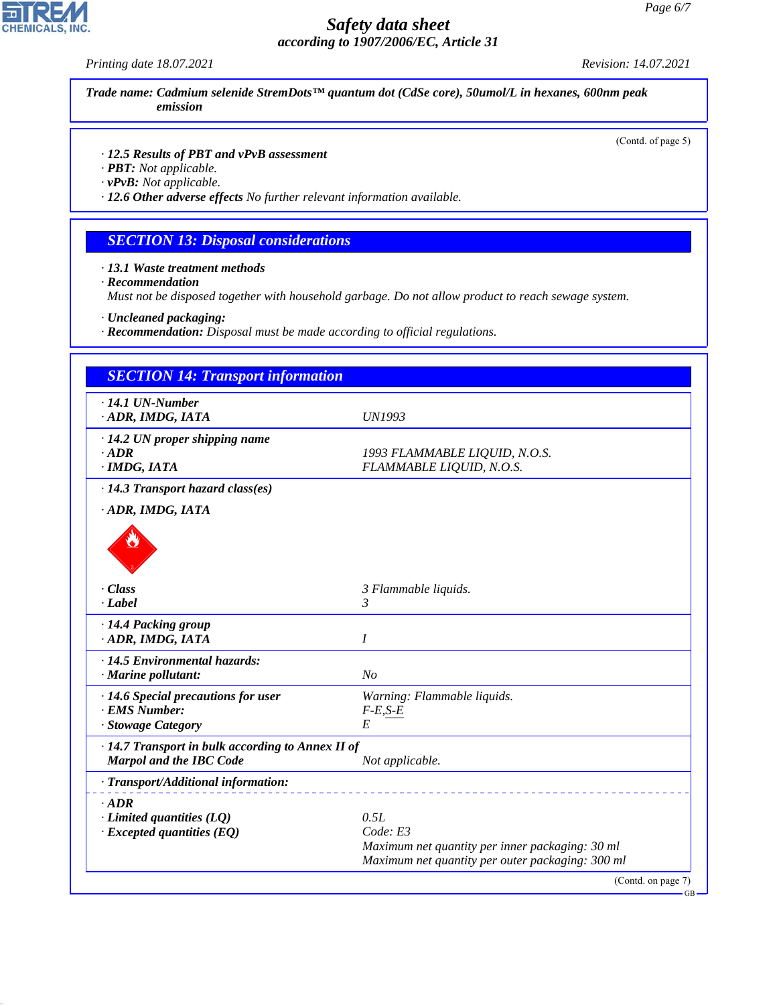*Printing date 18.07.2021 Revision: 14.07.2021*

*Trade name: Cadmium selenide StremDots™ quantum dot (CdSe core), 50umol/L in hexanes, 600nm peak emission*

(Contd. of page 5)

#### *· 12.5 Results of PBT and vPvB assessment*

*· PBT: Not applicable.*

*· vPvB: Not applicable.*

*· 12.6 Other adverse effects No further relevant information available.*

## *SECTION 13: Disposal considerations*

*· 13.1 Waste treatment methods*

*· Recommendation*

*Must not be disposed together with household garbage. Do not allow product to reach sewage system.*

*· Uncleaned packaging:*

*· Recommendation: Disposal must be made according to official regulations.*

| <b>SECTION 14: Transport information</b>                |                                                  |
|---------------------------------------------------------|--------------------------------------------------|
| $\cdot$ 14.1 UN-Number<br>· ADR, IMDG, IATA             | <b>UN1993</b>                                    |
| $\cdot$ 14.2 UN proper shipping name                    |                                                  |
| $\cdot$ ADR                                             | 1993 FLAMMABLE LIQUID, N.O.S.                    |
| $·$ IMDG, IATA                                          | FLAMMABLE LIQUID, N.O.S.                         |
| $\cdot$ 14.3 Transport hazard class(es)                 |                                                  |
| · ADR, IMDG, IATA                                       |                                                  |
|                                                         |                                                  |
| - Class                                                 | 3 Flammable liquids.                             |
| $-Label$                                                | 3                                                |
| · 14.4 Packing group                                    |                                                  |
| · ADR, IMDG, IATA                                       | I                                                |
| · 14.5 Environmental hazards:                           |                                                  |
| · Marine pollutant:                                     | N <sub>o</sub>                                   |
| · 14.6 Special precautions for user                     | Warning: Flammable liquids.                      |
| · EMS Number:                                           | $F-E,S-E$                                        |
| · Stowage Category                                      | E                                                |
| $\cdot$ 14.7 Transport in bulk according to Annex II of |                                                  |
| <b>Marpol and the IBC Code</b>                          | Not applicable.                                  |
| · Transport/Additional information:                     |                                                  |
| $\cdot$ ADR                                             |                                                  |
| $\cdot$ Limited quantities (LQ)                         | 0.5L                                             |
| $\cdot$ Excepted quantities (EQ)                        | Code: E3                                         |
|                                                         | Maximum net quantity per inner packaging: 30 ml  |
|                                                         | Maximum net quantity per outer packaging: 300 ml |



44.1.1

GB